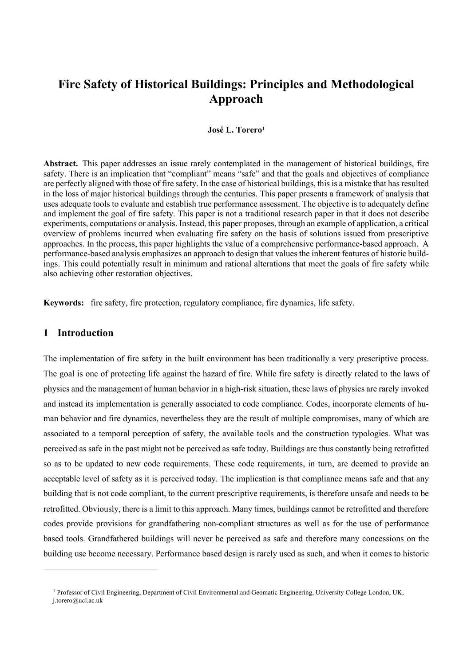# **Fire Safety of Historical Buildings: Principles and Methodological Approach**

#### **José L. Torero1**

**Abstract.** This paper addresses an issue rarely contemplated in the management of historical buildings, fire safety. There is an implication that "compliant" means "safe" and that the goals and objectives of compliance are perfectly aligned with those of fire safety. In the case of historical buildings, this is a mistake that has resulted in the loss of major historical buildings through the centuries. This paper presents a framework of analysis that uses adequate tools to evaluate and establish true performance assessment. The objective is to adequately define and implement the goal of fire safety. This paper is not a traditional research paper in that it does not describe experiments, computations or analysis. Instead, this paper proposes, through an example of application, a critical overview of problems incurred when evaluating fire safety on the basis of solutions issued from prescriptive approaches. In the process, this paper highlights the value of a comprehensive performance-based approach. A performance-based analysis emphasizes an approach to design that values the inherent features of historic buildings. This could potentially result in minimum and rational alterations that meet the goals of fire safety while also achieving other restoration objectives.

**Keywords:** fire safety, fire protection, regulatory compliance, fire dynamics, life safety.

# **1 Introduction**

l

The implementation of fire safety in the built environment has been traditionally a very prescriptive process. The goal is one of protecting life against the hazard of fire. While fire safety is directly related to the laws of physics and the management of human behavior in a high-risk situation, these laws of physics are rarely invoked and instead its implementation is generally associated to code compliance. Codes, incorporate elements of human behavior and fire dynamics, nevertheless they are the result of multiple compromises, many of which are associated to a temporal perception of safety, the available tools and the construction typologies. What was perceived as safe in the past might not be perceived as safe today. Buildings are thus constantly being retrofitted so as to be updated to new code requirements. These code requirements, in turn, are deemed to provide an acceptable level of safety as it is perceived today. The implication is that compliance means safe and that any building that is not code compliant, to the current prescriptive requirements, is therefore unsafe and needs to be retrofitted. Obviously, there is a limit to this approach. Many times, buildings cannot be retrofitted and therefore codes provide provisions for grandfathering non-compliant structures as well as for the use of performance based tools. Grandfathered buildings will never be perceived as safe and therefore many concessions on the building use become necessary. Performance based design is rarely used as such, and when it comes to historic

<sup>&</sup>lt;sup>1</sup> Professor of Civil Engineering, Department of Civil Environmental and Geomatic Engineering, University College London, UK, j.torero@ucl.ac.uk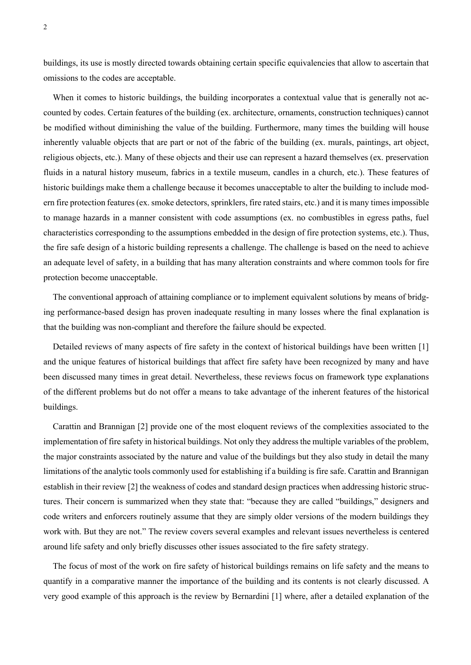buildings, its use is mostly directed towards obtaining certain specific equivalencies that allow to ascertain that omissions to the codes are acceptable.

When it comes to historic buildings, the building incorporates a contextual value that is generally not accounted by codes. Certain features of the building (ex. architecture, ornaments, construction techniques) cannot be modified without diminishing the value of the building. Furthermore, many times the building will house inherently valuable objects that are part or not of the fabric of the building (ex. murals, paintings, art object, religious objects, etc.). Many of these objects and their use can represent a hazard themselves (ex. preservation fluids in a natural history museum, fabrics in a textile museum, candles in a church, etc.). These features of historic buildings make them a challenge because it becomes unacceptable to alter the building to include modern fire protection features (ex. smoke detectors, sprinklers, fire rated stairs, etc.) and it is many times impossible to manage hazards in a manner consistent with code assumptions (ex. no combustibles in egress paths, fuel characteristics corresponding to the assumptions embedded in the design of fire protection systems, etc.). Thus, the fire safe design of a historic building represents a challenge. The challenge is based on the need to achieve an adequate level of safety, in a building that has many alteration constraints and where common tools for fire protection become unacceptable.

The conventional approach of attaining compliance or to implement equivalent solutions by means of bridging performance-based design has proven inadequate resulting in many losses where the final explanation is that the building was non-compliant and therefore the failure should be expected.

Detailed reviews of many aspects of fire safety in the context of historical buildings have been written [1] and the unique features of historical buildings that affect fire safety have been recognized by many and have been discussed many times in great detail. Nevertheless, these reviews focus on framework type explanations of the different problems but do not offer a means to take advantage of the inherent features of the historical buildings.

Carattin and Brannigan [2] provide one of the most eloquent reviews of the complexities associated to the implementation of fire safety in historical buildings. Not only they address the multiple variables of the problem, the major constraints associated by the nature and value of the buildings but they also study in detail the many limitations of the analytic tools commonly used for establishing if a building is fire safe. Carattin and Brannigan establish in their review [2] the weakness of codes and standard design practices when addressing historic structures. Their concern is summarized when they state that: "because they are called "buildings," designers and code writers and enforcers routinely assume that they are simply older versions of the modern buildings they work with. But they are not." The review covers several examples and relevant issues nevertheless is centered around life safety and only briefly discusses other issues associated to the fire safety strategy.

The focus of most of the work on fire safety of historical buildings remains on life safety and the means to quantify in a comparative manner the importance of the building and its contents is not clearly discussed. A very good example of this approach is the review by Bernardini [1] where, after a detailed explanation of the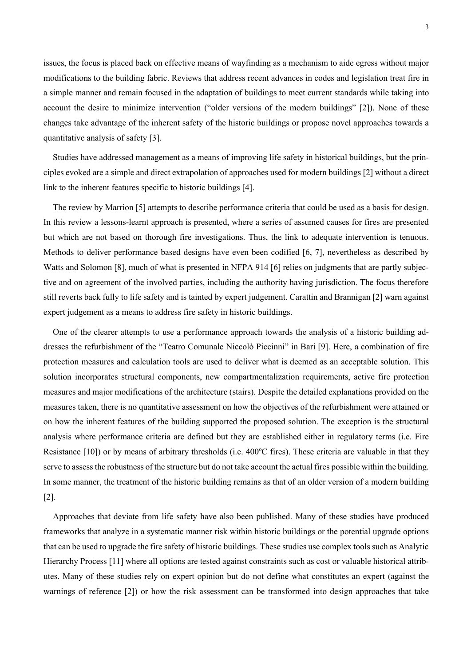issues, the focus is placed back on effective means of wayfinding as a mechanism to aide egress without major modifications to the building fabric. Reviews that address recent advances in codes and legislation treat fire in a simple manner and remain focused in the adaptation of buildings to meet current standards while taking into account the desire to minimize intervention ("older versions of the modern buildings" [2]). None of these changes take advantage of the inherent safety of the historic buildings or propose novel approaches towards a quantitative analysis of safety [3].

Studies have addressed management as a means of improving life safety in historical buildings, but the principles evoked are a simple and direct extrapolation of approaches used for modern buildings [2] without a direct link to the inherent features specific to historic buildings [4].

The review by Marrion [5] attempts to describe performance criteria that could be used as a basis for design. In this review a lessons-learnt approach is presented, where a series of assumed causes for fires are presented but which are not based on thorough fire investigations. Thus, the link to adequate intervention is tenuous. Methods to deliver performance based designs have even been codified [6, 7], nevertheless as described by Watts and Solomon [8], much of what is presented in NFPA 914 [6] relies on judgments that are partly subjective and on agreement of the involved parties, including the authority having jurisdiction. The focus therefore still reverts back fully to life safety and is tainted by expert judgement. Carattin and Brannigan [2] warn against expert judgement as a means to address fire safety in historic buildings.

One of the clearer attempts to use a performance approach towards the analysis of a historic building addresses the refurbishment of the "Teatro Comunale Niccolò Piccinni" in Bari [9]. Here, a combination of fire protection measures and calculation tools are used to deliver what is deemed as an acceptable solution. This solution incorporates structural components, new compartmentalization requirements, active fire protection measures and major modifications of the architecture (stairs). Despite the detailed explanations provided on the measures taken, there is no quantitative assessment on how the objectives of the refurbishment were attained or on how the inherent features of the building supported the proposed solution. The exception is the structural analysis where performance criteria are defined but they are established either in regulatory terms (i.e. Fire Resistance [10]) or by means of arbitrary thresholds (i.e. 400°C fires). These criteria are valuable in that they serve to assess the robustness of the structure but do not take account the actual fires possible within the building. In some manner, the treatment of the historic building remains as that of an older version of a modern building [2].

Approaches that deviate from life safety have also been published. Many of these studies have produced frameworks that analyze in a systematic manner risk within historic buildings or the potential upgrade options that can be used to upgrade the fire safety of historic buildings. These studies use complex tools such as Analytic Hierarchy Process [11] where all options are tested against constraints such as cost or valuable historical attributes. Many of these studies rely on expert opinion but do not define what constitutes an expert (against the warnings of reference [2]) or how the risk assessment can be transformed into design approaches that take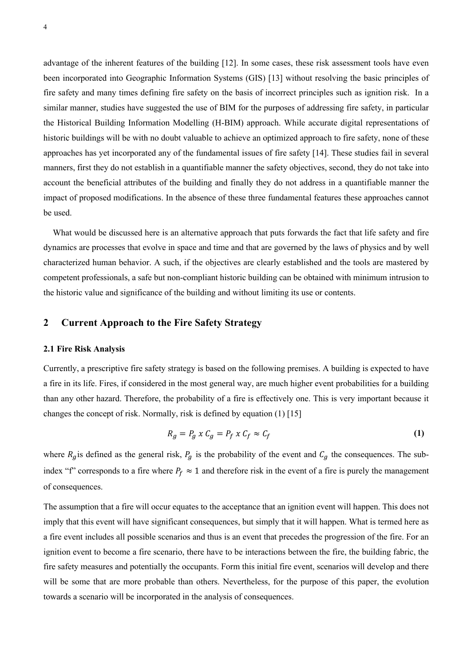advantage of the inherent features of the building [12]. In some cases, these risk assessment tools have even been incorporated into Geographic Information Systems (GIS) [13] without resolving the basic principles of fire safety and many times defining fire safety on the basis of incorrect principles such as ignition risk. In a similar manner, studies have suggested the use of BIM for the purposes of addressing fire safety, in particular the Historical Building Information Modelling (H-BIM) approach. While accurate digital representations of historic buildings will be with no doubt valuable to achieve an optimized approach to fire safety, none of these approaches has yet incorporated any of the fundamental issues of fire safety [14]. These studies fail in several manners, first they do not establish in a quantifiable manner the safety objectives, second, they do not take into account the beneficial attributes of the building and finally they do not address in a quantifiable manner the impact of proposed modifications. In the absence of these three fundamental features these approaches cannot be used.

What would be discussed here is an alternative approach that puts forwards the fact that life safety and fire dynamics are processes that evolve in space and time and that are governed by the laws of physics and by well characterized human behavior. A such, if the objectives are clearly established and the tools are mastered by competent professionals, a safe but non-compliant historic building can be obtained with minimum intrusion to the historic value and significance of the building and without limiting its use or contents.

### **2 Current Approach to the Fire Safety Strategy**

#### **2.1 Fire Risk Analysis**

Currently, a prescriptive fire safety strategy is based on the following premises. A building is expected to have a fire in its life. Fires, if considered in the most general way, are much higher event probabilities for a building than any other hazard. Therefore, the probability of a fire is effectively one. This is very important because it changes the concept of risk. Normally, risk is defined by equation (1) [15]

$$
R_g = P_g \times C_g = P_f \times C_f \approx C_f \tag{1}
$$

where  $R_g$  is defined as the general risk,  $P_g$  is the probability of the event and  $C_g$  the consequences. The subindex "f" corresponds to a fire where  $P_f \approx 1$  and therefore risk in the event of a fire is purely the management of consequences.

The assumption that a fire will occur equates to the acceptance that an ignition event will happen. This does not imply that this event will have significant consequences, but simply that it will happen. What is termed here as a fire event includes all possible scenarios and thus is an event that precedes the progression of the fire. For an ignition event to become a fire scenario, there have to be interactions between the fire, the building fabric, the fire safety measures and potentially the occupants. Form this initial fire event, scenarios will develop and there will be some that are more probable than others. Nevertheless, for the purpose of this paper, the evolution towards a scenario will be incorporated in the analysis of consequences.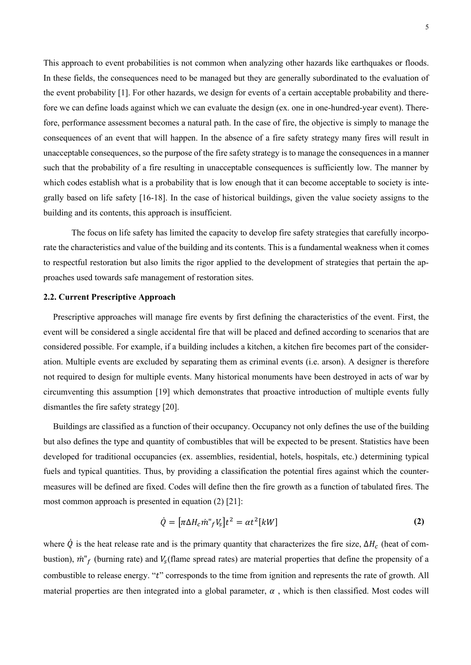This approach to event probabilities is not common when analyzing other hazards like earthquakes or floods. In these fields, the consequences need to be managed but they are generally subordinated to the evaluation of the event probability [1]. For other hazards, we design for events of a certain acceptable probability and therefore we can define loads against which we can evaluate the design (ex. one in one-hundred-year event). Therefore, performance assessment becomes a natural path. In the case of fire, the objective is simply to manage the consequences of an event that will happen. In the absence of a fire safety strategy many fires will result in unacceptable consequences, so the purpose of the fire safety strategy is to manage the consequences in a manner such that the probability of a fire resulting in unacceptable consequences is sufficiently low. The manner by which codes establish what is a probability that is low enough that it can become acceptable to society is integrally based on life safety [16-18]. In the case of historical buildings, given the value society assigns to the building and its contents, this approach is insufficient.

The focus on life safety has limited the capacity to develop fire safety strategies that carefully incorporate the characteristics and value of the building and its contents. This is a fundamental weakness when it comes to respectful restoration but also limits the rigor applied to the development of strategies that pertain the approaches used towards safe management of restoration sites.

### **2.2. Current Prescriptive Approach**

Prescriptive approaches will manage fire events by first defining the characteristics of the event. First, the event will be considered a single accidental fire that will be placed and defined according to scenarios that are considered possible. For example, if a building includes a kitchen, a kitchen fire becomes part of the consideration. Multiple events are excluded by separating them as criminal events (i.e. arson). A designer is therefore not required to design for multiple events. Many historical monuments have been destroyed in acts of war by circumventing this assumption [19] which demonstrates that proactive introduction of multiple events fully dismantles the fire safety strategy [20].

Buildings are classified as a function of their occupancy. Occupancy not only defines the use of the building but also defines the type and quantity of combustibles that will be expected to be present. Statistics have been developed for traditional occupancies (ex. assemblies, residential, hotels, hospitals, etc.) determining typical fuels and typical quantities. Thus, by providing a classification the potential fires against which the countermeasures will be defined are fixed. Codes will define then the fire growth as a function of tabulated fires. The most common approach is presented in equation (2) [21]:

$$
\dot{Q} = \left[\pi \Delta H_c \dot{m}^{\dagger}{}_f V_s\right] t^2 = \alpha t^2 [kW] \tag{2}
$$

where  $\dot{Q}$  is the heat release rate and is the primary quantity that characterizes the fire size,  $\Delta H_c$  (heat of combustion),  $\dot{m}^r$  (burning rate) and  $V_s$  (flame spread rates) are material properties that define the propensity of a combustible to release energy. "t" corresponds to the time from ignition and represents the rate of growth. All material properties are then integrated into a global parameter,  $\alpha$ , which is then classified. Most codes will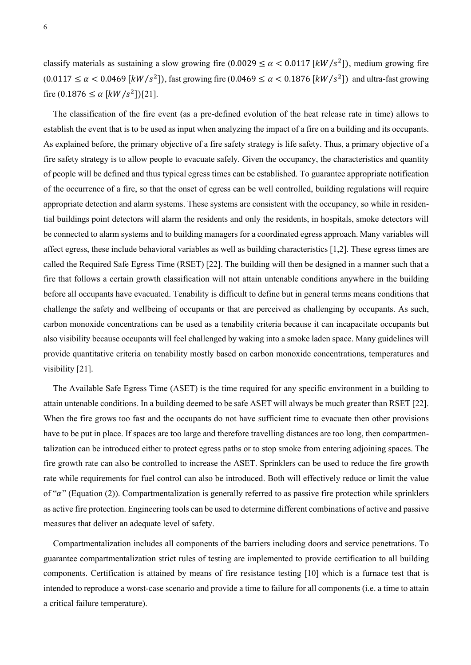classify materials as sustaining a slow growing fire  $(0.0029 \le \alpha < 0.0117 \frac{kW}{s^2}]$ , medium growing fire  $(0.0117 \le \alpha < 0.0469$  [kW/s<sup>2</sup>]), fast growing fire  $(0.0469 \le \alpha < 0.1876$  [kW/s<sup>2</sup>]) and ultra-fast growing fire  $(0.1876 \le \alpha \frac{1}{kW} / s^2)$ [21].

The classification of the fire event (as a pre-defined evolution of the heat release rate in time) allows to establish the event that is to be used as input when analyzing the impact of a fire on a building and its occupants. As explained before, the primary objective of a fire safety strategy is life safety. Thus, a primary objective of a fire safety strategy is to allow people to evacuate safely. Given the occupancy, the characteristics and quantity of people will be defined and thus typical egress times can be established. To guarantee appropriate notification of the occurrence of a fire, so that the onset of egress can be well controlled, building regulations will require appropriate detection and alarm systems. These systems are consistent with the occupancy, so while in residential buildings point detectors will alarm the residents and only the residents, in hospitals, smoke detectors will be connected to alarm systems and to building managers for a coordinated egress approach. Many variables will affect egress, these include behavioral variables as well as building characteristics [1,2]. These egress times are called the Required Safe Egress Time (RSET) [22]. The building will then be designed in a manner such that a fire that follows a certain growth classification will not attain untenable conditions anywhere in the building before all occupants have evacuated. Tenability is difficult to define but in general terms means conditions that challenge the safety and wellbeing of occupants or that are perceived as challenging by occupants. As such, carbon monoxide concentrations can be used as a tenability criteria because it can incapacitate occupants but also visibility because occupants will feel challenged by waking into a smoke laden space. Many guidelines will provide quantitative criteria on tenability mostly based on carbon monoxide concentrations, temperatures and visibility [21].

The Available Safe Egress Time (ASET) is the time required for any specific environment in a building to attain untenable conditions. In a building deemed to be safe ASET will always be much greater than RSET [22]. When the fire grows too fast and the occupants do not have sufficient time to evacuate then other provisions have to be put in place. If spaces are too large and therefore travelling distances are too long, then compartmentalization can be introduced either to protect egress paths or to stop smoke from entering adjoining spaces. The fire growth rate can also be controlled to increase the ASET. Sprinklers can be used to reduce the fire growth rate while requirements for fuel control can also be introduced. Both will effectively reduce or limit the value of " $\alpha$ " (Equation (2)). Compartmentalization is generally referred to as passive fire protection while sprinklers as active fire protection. Engineering tools can be used to determine different combinations of active and passive measures that deliver an adequate level of safety.

Compartmentalization includes all components of the barriers including doors and service penetrations. To guarantee compartmentalization strict rules of testing are implemented to provide certification to all building components. Certification is attained by means of fire resistance testing [10] which is a furnace test that is intended to reproduce a worst-case scenario and provide a time to failure for all components (i.e. a time to attain a critical failure temperature).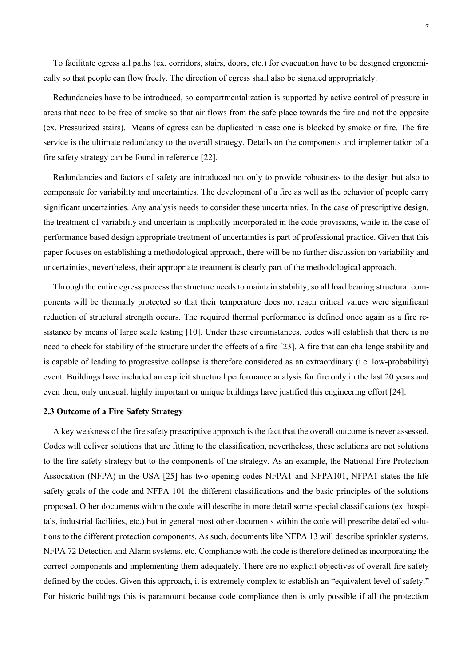To facilitate egress all paths (ex. corridors, stairs, doors, etc.) for evacuation have to be designed ergonomically so that people can flow freely. The direction of egress shall also be signaled appropriately.

Redundancies have to be introduced, so compartmentalization is supported by active control of pressure in areas that need to be free of smoke so that air flows from the safe place towards the fire and not the opposite (ex. Pressurized stairs). Means of egress can be duplicated in case one is blocked by smoke or fire. The fire service is the ultimate redundancy to the overall strategy. Details on the components and implementation of a fire safety strategy can be found in reference [22].

Redundancies and factors of safety are introduced not only to provide robustness to the design but also to compensate for variability and uncertainties. The development of a fire as well as the behavior of people carry significant uncertainties. Any analysis needs to consider these uncertainties. In the case of prescriptive design, the treatment of variability and uncertain is implicitly incorporated in the code provisions, while in the case of performance based design appropriate treatment of uncertainties is part of professional practice. Given that this paper focuses on establishing a methodological approach, there will be no further discussion on variability and uncertainties, nevertheless, their appropriate treatment is clearly part of the methodological approach.

Through the entire egress process the structure needs to maintain stability, so all load bearing structural components will be thermally protected so that their temperature does not reach critical values were significant reduction of structural strength occurs. The required thermal performance is defined once again as a fire resistance by means of large scale testing [10]. Under these circumstances, codes will establish that there is no need to check for stability of the structure under the effects of a fire [23]. A fire that can challenge stability and is capable of leading to progressive collapse is therefore considered as an extraordinary (i.e. low-probability) event. Buildings have included an explicit structural performance analysis for fire only in the last 20 years and even then, only unusual, highly important or unique buildings have justified this engineering effort [24].

### **2.3 Outcome of a Fire Safety Strategy**

A key weakness of the fire safety prescriptive approach is the fact that the overall outcome is never assessed. Codes will deliver solutions that are fitting to the classification, nevertheless, these solutions are not solutions to the fire safety strategy but to the components of the strategy. As an example, the National Fire Protection Association (NFPA) in the USA [25] has two opening codes NFPA1 and NFPA101, NFPA1 states the life safety goals of the code and NFPA 101 the different classifications and the basic principles of the solutions proposed. Other documents within the code will describe in more detail some special classifications (ex. hospitals, industrial facilities, etc.) but in general most other documents within the code will prescribe detailed solutions to the different protection components. As such, documents like NFPA 13 will describe sprinkler systems, NFPA 72 Detection and Alarm systems, etc. Compliance with the code is therefore defined as incorporating the correct components and implementing them adequately. There are no explicit objectives of overall fire safety defined by the codes. Given this approach, it is extremely complex to establish an "equivalent level of safety." For historic buildings this is paramount because code compliance then is only possible if all the protection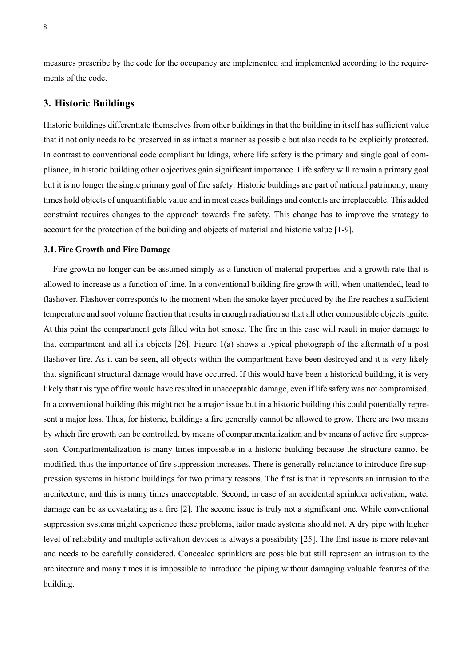measures prescribe by the code for the occupancy are implemented and implemented according to the requirements of the code.

# **3. Historic Buildings**

Historic buildings differentiate themselves from other buildings in that the building in itself has sufficient value that it not only needs to be preserved in as intact a manner as possible but also needs to be explicitly protected. In contrast to conventional code compliant buildings, where life safety is the primary and single goal of compliance, in historic building other objectives gain significant importance. Life safety will remain a primary goal but it is no longer the single primary goal of fire safety. Historic buildings are part of national patrimony, many times hold objects of unquantifiable value and in most cases buildings and contents are irreplaceable. This added constraint requires changes to the approach towards fire safety. This change has to improve the strategy to account for the protection of the building and objects of material and historic value [1-9].

#### **3.1.Fire Growth and Fire Damage**

Fire growth no longer can be assumed simply as a function of material properties and a growth rate that is allowed to increase as a function of time. In a conventional building fire growth will, when unattended, lead to flashover. Flashover corresponds to the moment when the smoke layer produced by the fire reaches a sufficient temperature and soot volume fraction that results in enough radiation so that all other combustible objects ignite. At this point the compartment gets filled with hot smoke. The fire in this case will result in major damage to that compartment and all its objects [26]. Figure 1(a) shows a typical photograph of the aftermath of a post flashover fire. As it can be seen, all objects within the compartment have been destroyed and it is very likely that significant structural damage would have occurred. If this would have been a historical building, it is very likely that this type of fire would have resulted in unacceptable damage, even if life safety was not compromised. In a conventional building this might not be a major issue but in a historic building this could potentially represent a major loss. Thus, for historic, buildings a fire generally cannot be allowed to grow. There are two means by which fire growth can be controlled, by means of compartmentalization and by means of active fire suppression. Compartmentalization is many times impossible in a historic building because the structure cannot be modified, thus the importance of fire suppression increases. There is generally reluctance to introduce fire suppression systems in historic buildings for two primary reasons. The first is that it represents an intrusion to the architecture, and this is many times unacceptable. Second, in case of an accidental sprinkler activation, water damage can be as devastating as a fire [2]. The second issue is truly not a significant one. While conventional suppression systems might experience these problems, tailor made systems should not. A dry pipe with higher level of reliability and multiple activation devices is always a possibility [25]. The first issue is more relevant and needs to be carefully considered. Concealed sprinklers are possible but still represent an intrusion to the architecture and many times it is impossible to introduce the piping without damaging valuable features of the building.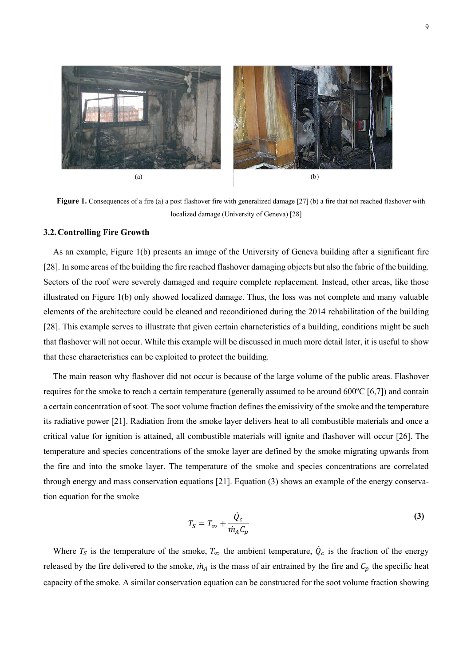

**Figure 1.** Consequences of a fire (a) a post flashover fire with generalized damage [27] (b) a fire that not reached flashover with localized damage (University of Geneva) [28]

#### **3.2.Controlling Fire Growth**

As an example, Figure 1(b) presents an image of the University of Geneva building after a significant fire [28]. In some areas of the building the fire reached flashover damaging objects but also the fabric of the building. Sectors of the roof were severely damaged and require complete replacement. Instead, other areas, like those illustrated on Figure 1(b) only showed localized damage. Thus, the loss was not complete and many valuable elements of the architecture could be cleaned and reconditioned during the 2014 rehabilitation of the building [28]. This example serves to illustrate that given certain characteristics of a building, conditions might be such that flashover will not occur. While this example will be discussed in much more detail later, it is useful to show that these characteristics can be exploited to protect the building.

The main reason why flashover did not occur is because of the large volume of the public areas. Flashover requires for the smoke to reach a certain temperature (generally assumed to be around  $600^{\circ}C$  [6,7]) and contain a certain concentration of soot. The soot volume fraction defines the emissivity of the smoke and the temperature its radiative power [21]. Radiation from the smoke layer delivers heat to all combustible materials and once a critical value for ignition is attained, all combustible materials will ignite and flashover will occur [26]. The temperature and species concentrations of the smoke layer are defined by the smoke migrating upwards from the fire and into the smoke layer. The temperature of the smoke and species concentrations are correlated through energy and mass conservation equations [21]. Equation (3) shows an example of the energy conservation equation for the smoke

$$
T_S = T_{\infty} + \frac{\dot{Q}_c}{\dot{m}_A C_p} \tag{3}
$$

Where  $T_S$  is the temperature of the smoke,  $T_{\infty}$  the ambient temperature,  $\dot{Q}_c$  is the fraction of the energy released by the fire delivered to the smoke,  $\dot{m}_A$  is the mass of air entrained by the fire and  $C_p$  the specific heat capacity of the smoke. A similar conservation equation can be constructed for the soot volume fraction showing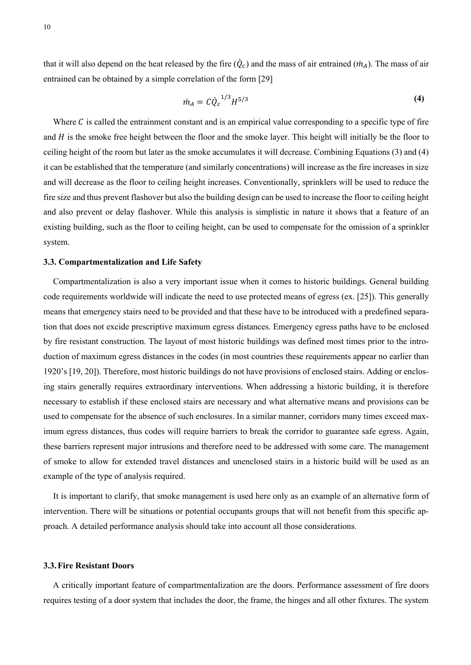that it will also depend on the heat released by the fire  $(\dot{Q}_c)$  and the mass of air entrained  $(\dot{m}_A)$ . The mass of air entrained can be obtained by a simple correlation of the form [29]

$$
\dot{m}_A = C \dot{Q}_c^{-1/3} H^{5/3} \tag{4}
$$

Where  $C$  is called the entrainment constant and is an empirical value corresponding to a specific type of fire and  $H$  is the smoke free height between the floor and the smoke layer. This height will initially be the floor to ceiling height of the room but later as the smoke accumulates it will decrease. Combining Equations (3) and (4) it can be established that the temperature (and similarly concentrations) will increase as the fire increases in size and will decrease as the floor to ceiling height increases. Conventionally, sprinklers will be used to reduce the fire size and thus prevent flashover but also the building design can be used to increase the floor to ceiling height and also prevent or delay flashover. While this analysis is simplistic in nature it shows that a feature of an existing building, such as the floor to ceiling height, can be used to compensate for the omission of a sprinkler system.

#### **3.3. Compartmentalization and Life Safety**

Compartmentalization is also a very important issue when it comes to historic buildings. General building code requirements worldwide will indicate the need to use protected means of egress (ex. [25]). This generally means that emergency stairs need to be provided and that these have to be introduced with a predefined separation that does not excide prescriptive maximum egress distances. Emergency egress paths have to be enclosed by fire resistant construction. The layout of most historic buildings was defined most times prior to the introduction of maximum egress distances in the codes (in most countries these requirements appear no earlier than 1920's [19, 20]). Therefore, most historic buildings do not have provisions of enclosed stairs. Adding or enclosing stairs generally requires extraordinary interventions. When addressing a historic building, it is therefore necessary to establish if these enclosed stairs are necessary and what alternative means and provisions can be used to compensate for the absence of such enclosures. In a similar manner, corridors many times exceed maximum egress distances, thus codes will require barriers to break the corridor to guarantee safe egress. Again, these barriers represent major intrusions and therefore need to be addressed with some care. The management of smoke to allow for extended travel distances and unenclosed stairs in a historic build will be used as an example of the type of analysis required.

It is important to clarify, that smoke management is used here only as an example of an alternative form of intervention. There will be situations or potential occupants groups that will not benefit from this specific approach. A detailed performance analysis should take into account all those considerations.

### **3.3.Fire Resistant Doors**

A critically important feature of compartmentalization are the doors. Performance assessment of fire doors requires testing of a door system that includes the door, the frame, the hinges and all other fixtures. The system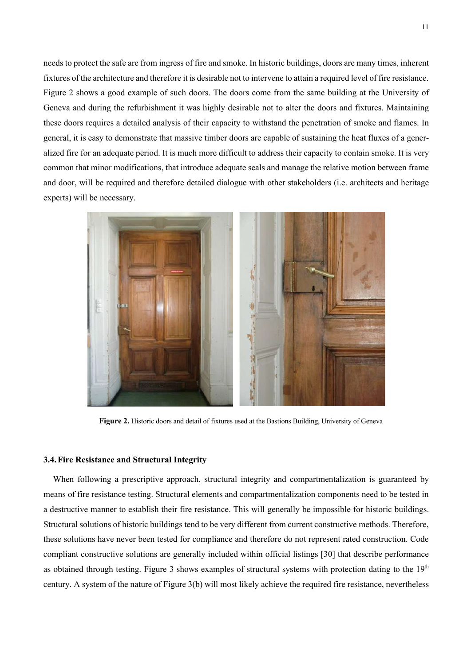needs to protect the safe are from ingress of fire and smoke. In historic buildings, doors are many times, inherent fixtures of the architecture and therefore it is desirable not to intervene to attain a required level of fire resistance. Figure 2 shows a good example of such doors. The doors come from the same building at the University of Geneva and during the refurbishment it was highly desirable not to alter the doors and fixtures. Maintaining these doors requires a detailed analysis of their capacity to withstand the penetration of smoke and flames. In general, it is easy to demonstrate that massive timber doors are capable of sustaining the heat fluxes of a generalized fire for an adequate period. It is much more difficult to address their capacity to contain smoke. It is very common that minor modifications, that introduce adequate seals and manage the relative motion between frame and door, will be required and therefore detailed dialogue with other stakeholders (i.e. architects and heritage experts) will be necessary.



**Figure 2.** Historic doors and detail of fixtures used at the Bastions Building, University of Geneva

#### **3.4.Fire Resistance and Structural Integrity**

When following a prescriptive approach, structural integrity and compartmentalization is guaranteed by means of fire resistance testing. Structural elements and compartmentalization components need to be tested in a destructive manner to establish their fire resistance. This will generally be impossible for historic buildings. Structural solutions of historic buildings tend to be very different from current constructive methods. Therefore, these solutions have never been tested for compliance and therefore do not represent rated construction. Code compliant constructive solutions are generally included within official listings [30] that describe performance as obtained through testing. Figure 3 shows examples of structural systems with protection dating to the 19<sup>th</sup> century. A system of the nature of Figure 3(b) will most likely achieve the required fire resistance, nevertheless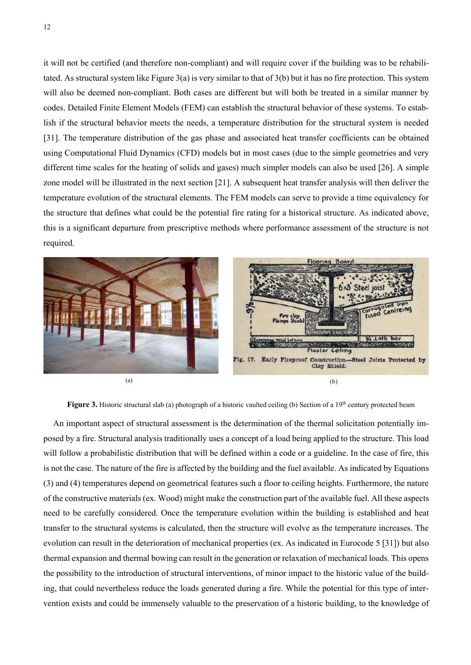it will not be certified (and therefore non-compliant) and will require cover if the building was to be rehabilitated. As structural system like Figure 3(a) is very similar to that of 3(b) but it has no fire protection. This system will also be deemed non-compliant. Both cases are different but will both be treated in a similar manner by codes. Detailed Finite Element Models (FEM) can establish the structural behavior of these systems. To establish if the structural behavior meets the needs, a temperature distribution for the structural system is needed [31]. The temperature distribution of the gas phase and associated heat transfer coefficients can be obtained using Computational Fluid Dynamics (CFD) models but in most cases (due to the simple geometries and very different time scales for the heating of solids and gases) much simpler models can also be used [26]. A simple zone model will be illustrated in the next section [21]. A subsequent heat transfer analysis will then deliver the temperature evolution of the structural elements. The FEM models can serve to provide a time equivalency for the structure that defines what could be the potential fire rating for a historical structure. As indicated above, this is a significant departure from prescriptive methods where performance assessment of the structure is not required.



**Figure 3.** Historic structural slab (a) photograph of a historic vaulted ceiling (b) Section of a 19<sup>th</sup> century protected beam

An important aspect of structural assessment is the determination of the thermal solicitation potentially imposed by a fire. Structural analysis traditionally uses a concept of a load being applied to the structure. This load will follow a probabilistic distribution that will be defined within a code or a guideline. In the case of fire, this is not the case. The nature of the fire is affected by the building and the fuel available. As indicated by Equations (3) and (4) temperatures depend on geometrical features such a floor to ceiling heights. Furthermore, the nature of the constructive materials (ex. Wood) might make the construction part of the available fuel. All these aspects need to be carefully considered. Once the temperature evolution within the building is established and heat transfer to the structural systems is calculated, then the structure will evolve as the temperature increases. The evolution can result in the deterioration of mechanical properties (ex. As indicated in Eurocode 5 [31]) but also thermal expansion and thermal bowing can result in the generation or relaxation of mechanical loads. This opens the possibility to the introduction of structural interventions, of minor impact to the historic value of the building, that could nevertheless reduce the loads generated during a fire. While the potential for this type of intervention exists and could be immensely valuable to the preservation of a historic building, to the knowledge of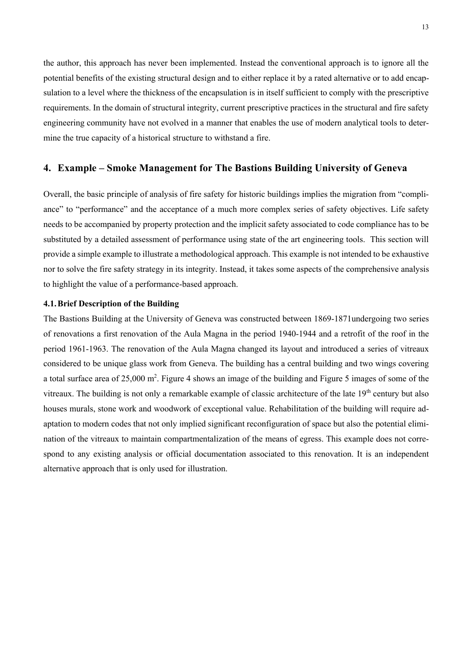the author, this approach has never been implemented. Instead the conventional approach is to ignore all the potential benefits of the existing structural design and to either replace it by a rated alternative or to add encapsulation to a level where the thickness of the encapsulation is in itself sufficient to comply with the prescriptive requirements. In the domain of structural integrity, current prescriptive practices in the structural and fire safety engineering community have not evolved in a manner that enables the use of modern analytical tools to determine the true capacity of a historical structure to withstand a fire.

### **4. Example – Smoke Management for The Bastions Building University of Geneva**

Overall, the basic principle of analysis of fire safety for historic buildings implies the migration from "compliance" to "performance" and the acceptance of a much more complex series of safety objectives. Life safety needs to be accompanied by property protection and the implicit safety associated to code compliance has to be substituted by a detailed assessment of performance using state of the art engineering tools. This section will provide a simple example to illustrate a methodological approach. This example is not intended to be exhaustive nor to solve the fire safety strategy in its integrity. Instead, it takes some aspects of the comprehensive analysis to highlight the value of a performance-based approach.

#### **4.1.Brief Description of the Building**

The Bastions Building at the University of Geneva was constructed between 1869-1871undergoing two series of renovations a first renovation of the Aula Magna in the period 1940-1944 and a retrofit of the roof in the period 1961-1963. The renovation of the Aula Magna changed its layout and introduced a series of vitreaux considered to be unique glass work from Geneva. The building has a central building and two wings covering a total surface area of  $25,000$  m<sup>2</sup>. Figure 4 shows an image of the building and Figure 5 images of some of the vitreaux. The building is not only a remarkable example of classic architecture of the late  $19<sup>th</sup>$  century but also houses murals, stone work and woodwork of exceptional value. Rehabilitation of the building will require adaptation to modern codes that not only implied significant reconfiguration of space but also the potential elimination of the vitreaux to maintain compartmentalization of the means of egress. This example does not correspond to any existing analysis or official documentation associated to this renovation. It is an independent alternative approach that is only used for illustration.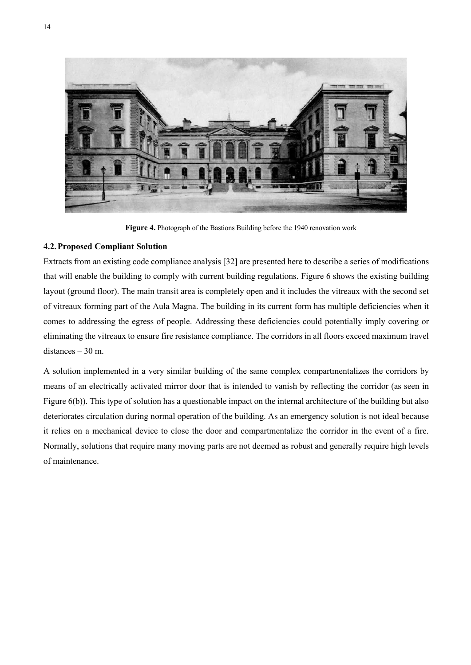

**Figure 4.** Photograph of the Bastions Building before the 1940 renovation work

### **4.2.Proposed Compliant Solution**

Extracts from an existing code compliance analysis [32] are presented here to describe a series of modifications that will enable the building to comply with current building regulations. Figure 6 shows the existing building layout (ground floor). The main transit area is completely open and it includes the vitreaux with the second set of vitreaux forming part of the Aula Magna. The building in its current form has multiple deficiencies when it comes to addressing the egress of people. Addressing these deficiencies could potentially imply covering or eliminating the vitreaux to ensure fire resistance compliance. The corridors in all floors exceed maximum travel distances – 30 m.

A solution implemented in a very similar building of the same complex compartmentalizes the corridors by means of an electrically activated mirror door that is intended to vanish by reflecting the corridor (as seen in Figure 6(b)). This type of solution has a questionable impact on the internal architecture of the building but also deteriorates circulation during normal operation of the building. As an emergency solution is not ideal because it relies on a mechanical device to close the door and compartmentalize the corridor in the event of a fire. Normally, solutions that require many moving parts are not deemed as robust and generally require high levels of maintenance.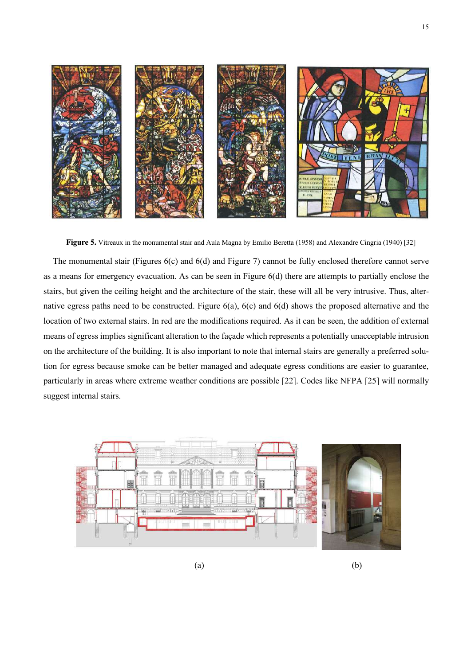

**Figure 5.** Vitreaux in the monumental stair and Aula Magna by Emilio Beretta (1958) and Alexandre Cingria (1940) [32]

The monumental stair (Figures  $6(c)$  and  $6(d)$  and Figure 7) cannot be fully enclosed therefore cannot serve as a means for emergency evacuation. As can be seen in Figure 6(d) there are attempts to partially enclose the stairs, but given the ceiling height and the architecture of the stair, these will all be very intrusive. Thus, alternative egress paths need to be constructed. Figure 6(a), 6(c) and 6(d) shows the proposed alternative and the location of two external stairs. In red are the modifications required. As it can be seen, the addition of external means of egress implies significant alteration to the façade which represents a potentially unacceptable intrusion on the architecture of the building. It is also important to note that internal stairs are generally a preferred solution for egress because smoke can be better managed and adequate egress conditions are easier to guarantee, particularly in areas where extreme weather conditions are possible [22]. Codes like NFPA [25] will normally suggest internal stairs.



 $(a)$  (b)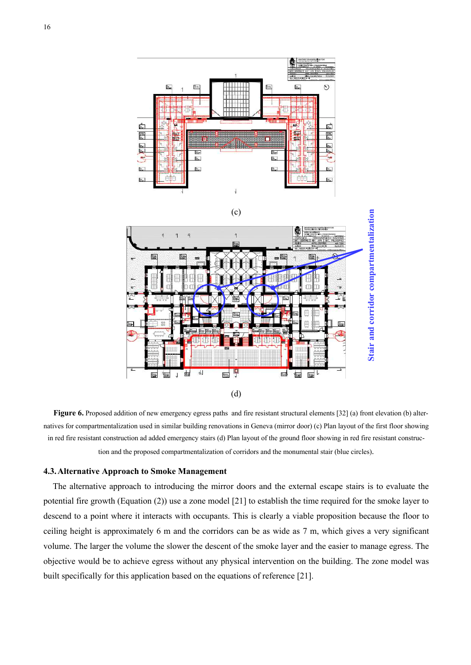

**Figure 6.** Proposed addition of new emergency egress paths and fire resistant structural elements [32] (a) front elevation (b) alternatives for compartmentalization used in similar building renovations in Geneva (mirror door) (c) Plan layout of the first floor showing in red fire resistant construction ad added emergency stairs (d) Plan layout of the ground floor showing in red fire resistant construction and the proposed compartmentalization of corridors and the monumental stair (blue circles).

### **4.3.Alternative Approach to Smoke Management**

The alternative approach to introducing the mirror doors and the external escape stairs is to evaluate the potential fire growth (Equation (2)) use a zone model [21] to establish the time required for the smoke layer to descend to a point where it interacts with occupants. This is clearly a viable proposition because the floor to ceiling height is approximately 6 m and the corridors can be as wide as 7 m, which gives a very significant volume. The larger the volume the slower the descent of the smoke layer and the easier to manage egress. The objective would be to achieve egress without any physical intervention on the building. The zone model was built specifically for this application based on the equations of reference [21].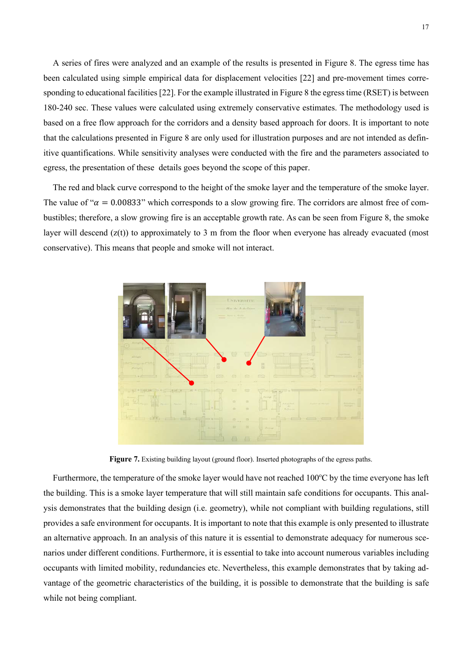A series of fires were analyzed and an example of the results is presented in Figure 8. The egress time has been calculated using simple empirical data for displacement velocities [22] and pre-movement times corresponding to educational facilities [22]. For the example illustrated in Figure 8 the egress time (RSET) is between 180-240 sec. These values were calculated using extremely conservative estimates. The methodology used is based on a free flow approach for the corridors and a density based approach for doors. It is important to note that the calculations presented in Figure 8 are only used for illustration purposes and are not intended as definitive quantifications. While sensitivity analyses were conducted with the fire and the parameters associated to egress, the presentation of these details goes beyond the scope of this paper.

The red and black curve correspond to the height of the smoke layer and the temperature of the smoke layer. The value of " $\alpha = 0.00833$ " which corresponds to a slow growing fire. The corridors are almost free of combustibles; therefore, a slow growing fire is an acceptable growth rate. As can be seen from Figure 8, the smoke layer will descend  $(z(t))$  to approximately to 3 m from the floor when everyone has already evacuated (most conservative). This means that people and smoke will not interact.



Figure 7. Existing building layout (ground floor). Inserted photographs of the egress paths.

Furthermore, the temperature of the smoke layer would have not reached 100°C by the time everyone has left the building. This is a smoke layer temperature that will still maintain safe conditions for occupants. This analysis demonstrates that the building design (i.e. geometry), while not compliant with building regulations, still provides a safe environment for occupants. It is important to note that this example is only presented to illustrate an alternative approach. In an analysis of this nature it is essential to demonstrate adequacy for numerous scenarios under different conditions. Furthermore, it is essential to take into account numerous variables including occupants with limited mobility, redundancies etc. Nevertheless, this example demonstrates that by taking advantage of the geometric characteristics of the building, it is possible to demonstrate that the building is safe while not being compliant.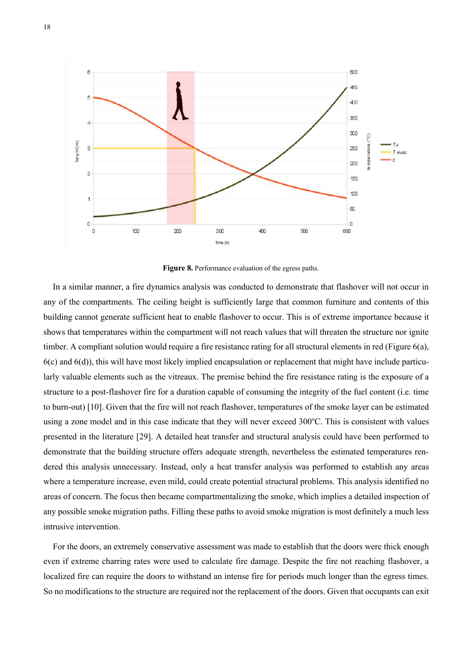

**Figure 8.** Performance evaluation of the egress paths.

In a similar manner, a fire dynamics analysis was conducted to demonstrate that flashover will not occur in any of the compartments. The ceiling height is sufficiently large that common furniture and contents of this building cannot generate sufficient heat to enable flashover to occur. This is of extreme importance because it shows that temperatures within the compartment will not reach values that will threaten the structure nor ignite timber. A compliant solution would require a fire resistance rating for all structural elements in red (Figure 6(a), 6(c) and 6(d)), this will have most likely implied encapsulation or replacement that might have include particularly valuable elements such as the vitreaux. The premise behind the fire resistance rating is the exposure of a structure to a post-flashover fire for a duration capable of consuming the integrity of the fuel content (i.e. time to burn-out) [10]. Given that the fire will not reach flashover, temperatures of the smoke layer can be estimated using a zone model and in this case indicate that they will never exceed 300°C. This is consistent with values presented in the literature [29]. A detailed heat transfer and structural analysis could have been performed to demonstrate that the building structure offers adequate strength, nevertheless the estimated temperatures rendered this analysis unnecessary. Instead, only a heat transfer analysis was performed to establish any areas where a temperature increase, even mild, could create potential structural problems. This analysis identified no areas of concern. The focus then became compartmentalizing the smoke, which implies a detailed inspection of any possible smoke migration paths. Filling these paths to avoid smoke migration is most definitely a much less intrusive intervention.

For the doors, an extremely conservative assessment was made to establish that the doors were thick enough even if extreme charring rates were used to calculate fire damage. Despite the fire not reaching flashover, a localized fire can require the doors to withstand an intense fire for periods much longer than the egress times. So no modifications to the structure are required nor the replacement of the doors. Given that occupants can exit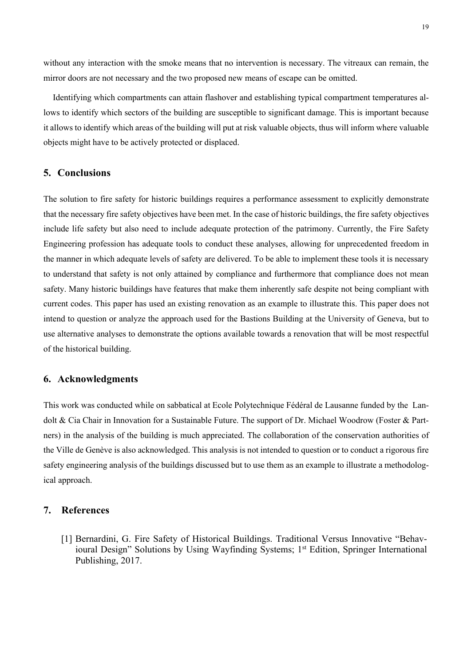without any interaction with the smoke means that no intervention is necessary. The vitreaux can remain, the mirror doors are not necessary and the two proposed new means of escape can be omitted.

Identifying which compartments can attain flashover and establishing typical compartment temperatures allows to identify which sectors of the building are susceptible to significant damage. This is important because it allows to identify which areas of the building will put at risk valuable objects, thus will inform where valuable objects might have to be actively protected or displaced.

# **5. Conclusions**

The solution to fire safety for historic buildings requires a performance assessment to explicitly demonstrate that the necessary fire safety objectives have been met. In the case of historic buildings, the fire safety objectives include life safety but also need to include adequate protection of the patrimony. Currently, the Fire Safety Engineering profession has adequate tools to conduct these analyses, allowing for unprecedented freedom in the manner in which adequate levels of safety are delivered. To be able to implement these tools it is necessary to understand that safety is not only attained by compliance and furthermore that compliance does not mean safety. Many historic buildings have features that make them inherently safe despite not being compliant with current codes. This paper has used an existing renovation as an example to illustrate this. This paper does not intend to question or analyze the approach used for the Bastions Building at the University of Geneva, but to use alternative analyses to demonstrate the options available towards a renovation that will be most respectful of the historical building.

# **6. Acknowledgments**

This work was conducted while on sabbatical at Ecole Polytechnique Fédéral de Lausanne funded by the Landolt & Cia Chair in Innovation for a Sustainable Future. The support of Dr. Michael Woodrow (Foster & Partners) in the analysis of the building is much appreciated. The collaboration of the conservation authorities of the Ville de Genève is also acknowledged. This analysis is not intended to question or to conduct a rigorous fire safety engineering analysis of the buildings discussed but to use them as an example to illustrate a methodological approach.

# **7. References**

[1] Bernardini, G. Fire Safety of Historical Buildings. Traditional Versus Innovative "Behavioural Design" Solutions by Using Wayfinding Systems; 1<sup>st</sup> Edition, Springer International Publishing, 2017.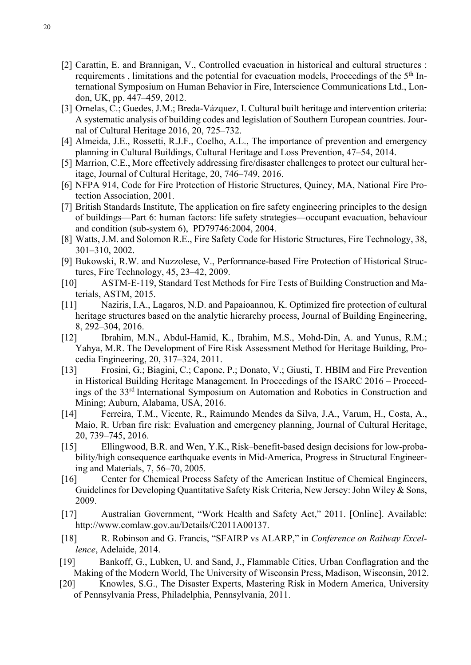- [2] Carattin, E. and Brannigan, V., Controlled evacuation in historical and cultural structures : requirements, limitations and the potential for evacuation models, Proceedings of the 5<sup>th</sup> International Symposium on Human Behavior in Fire, Interscience Communications Ltd., London, UK, pp. 447–459, 2012.
- [3] Ornelas, C.; Guedes, J.M.; Breda-Vázquez, I. Cultural built heritage and intervention criteria: A systematic analysis of building codes and legislation of Southern European countries. Journal of Cultural Heritage 2016, 20, 725–732.
- [4] Almeida, J.E., Rossetti, R.J.F., Coelho, A.L., The importance of prevention and emergency planning in Cultural Buildings, Cultural Heritage and Loss Prevention, 47–54, 2014.
- [5] Marrion, C.E., More effectively addressing fire/disaster challenges to protect our cultural heritage, Journal of Cultural Heritage, 20, 746–749, 2016.
- [6] NFPA 914, Code for Fire Protection of Historic Structures, Quincy, MA, National Fire Protection Association, 2001.
- [7] British Standards Institute, The application on fire safety engineering principles to the design of buildings—Part 6: human factors: life safety strategies—occupant evacuation, behaviour and condition (sub-system 6), PD79746:2004, 2004.
- [8] Watts, J.M. and Solomon R.E., Fire Safety Code for Historic Structures, Fire Technology, 38, 301–310, 2002.
- [9] Bukowski, R.W. and Nuzzolese, V., Performance-based Fire Protection of Historical Structures, Fire Technology, 45, 23–42, 2009.
- [10] ASTM-E-119, Standard Test Methods for Fire Tests of Building Construction and Materials, ASTM, 2015.
- [11] Naziris, I.A., Lagaros, N.D. and Papaioannou, K. Optimized fire protection of cultural heritage structures based on the analytic hierarchy process, Journal of Building Engineering, 8, 292–304, 2016.
- [12] Ibrahim, M.N., Abdul-Hamid, K., Ibrahim, M.S., Mohd-Din, A. and Yunus, R.M.; Yahya, M.R. The Development of Fire Risk Assessment Method for Heritage Building, Procedia Engineering, 20, 317–324, 2011.
- [13] Frosini, G.; Biagini, C.; Capone, P.; Donato, V.; Giusti, T. HBIM and Fire Prevention in Historical Building Heritage Management. In Proceedings of the ISARC 2016 – Proceedings of the 33rd International Symposium on Automation and Robotics in Construction and Mining; Auburn, Alabama, USA, 2016.
- [14] Ferreira, T.M., Vicente, R., Raimundo Mendes da Silva, J.A., Varum, H., Costa, A., Maio, R. Urban fire risk: Evaluation and emergency planning, Journal of Cultural Heritage, 20, 739–745, 2016.
- [15] Ellingwood, B.R. and Wen, Y.K., Risk–benefit-based design decisions for low-probability/high consequence earthquake events in Mid-America, Progress in Structural Engineering and Materials, 7, 56–70, 2005.
- [16] Center for Chemical Process Safety of the American Institue of Chemical Engineers, Guidelines for Developing Quantitative Safety Risk Criteria, New Jersey: John Wiley & Sons, 2009.
- [17] Australian Government, "Work Health and Safety Act," 2011. [Online]. Available: http://www.comlaw.gov.au/Details/C2011A00137.
- [18] R. Robinson and G. Francis, "SFAIRP vs ALARP," in *Conference on Railway Excellence*, Adelaide, 2014.
- [19] Bankoff, G., Lubken, U. and Sand, J., Flammable Cities, Urban Conflagration and the Making of the Modern World, The University of Wisconsin Press, Madison, Wisconsin, 2012.
- [20] Knowles, S.G., The Disaster Experts, Mastering Risk in Modern America, University of Pennsylvania Press, Philadelphia, Pennsylvania, 2011.